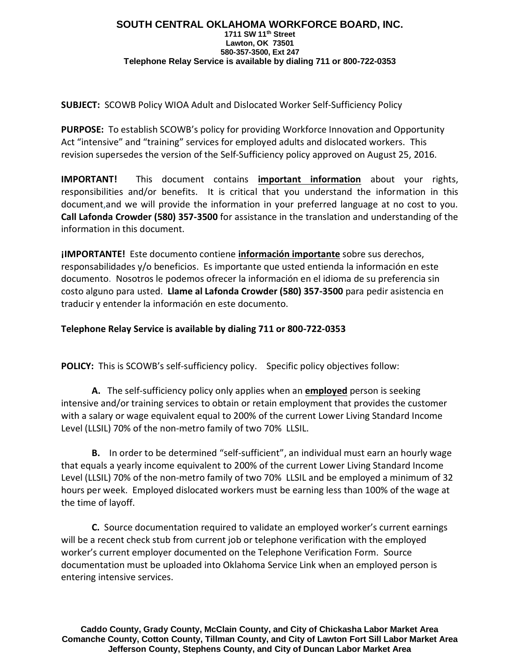## **SOUTH CENTRAL OKLAHOMA WORKFORCE BOARD, INC. 1711 SW 11th Street Lawton, OK 73501 580-357-3500, Ext 247 Telephone Relay Service is available by dialing 711 or 800-722-0353**

**SUBJECT:** SCOWB Policy WIOA Adult and Dislocated Worker Self-Sufficiency Policy

**PURPOSE:** To establish SCOWB's policy for providing Workforce Innovation and Opportunity Act "intensive" and "training" services for employed adults and dislocated workers. This revision supersedes the version of the Self-Sufficiency policy approved on August 25, 2016.

**IMPORTANT!** This document contains **important information** about your rights, responsibilities and/or benefits. It is critical that you understand the information in this document,and we will provide the information in your preferred language at no cost to you. **Call Lafonda Crowder (580) 357-3500** for assistance in the translation and understanding of the information in this document.

**¡IMPORTANTE!** Este documento contiene **información importante** sobre sus derechos, responsabilidades y/o beneficios. Es importante que usted entienda la información en este documento. Nosotros le podemos ofrecer la información en el idioma de su preferencia sin costo alguno para usted. **Llame al Lafonda Crowder (580) 357-3500** para pedir asistencia en traducir y entender la información en este documento.

**Telephone Relay Service is available by dialing 711 or 800-722-0353**

**POLICY:** This is SCOWB's self-sufficiency policy. Specific policy objectives follow:

**A.** The self-sufficiency policy only applies when an **employed** person is seeking intensive and/or training services to obtain or retain employment that provides the customer with a salary or wage equivalent equal to 200% of the current Lower Living Standard Income Level (LLSIL) 70% of the non-metro family of two 70% LLSIL.

**B.** In order to be determined "self-sufficient", an individual must earn an hourly wage that equals a yearly income equivalent to 200% of the current Lower Living Standard Income Level (LLSIL) 70% of the non-metro family of two 70% LLSIL and be employed a minimum of 32 hours per week. Employed dislocated workers must be earning less than 100% of the wage at the time of layoff.

**C.** Source documentation required to validate an employed worker's current earnings will be a recent check stub from current job or telephone verification with the employed worker's current employer documented on the Telephone Verification Form. Source documentation must be uploaded into Oklahoma Service Link when an employed person is entering intensive services.